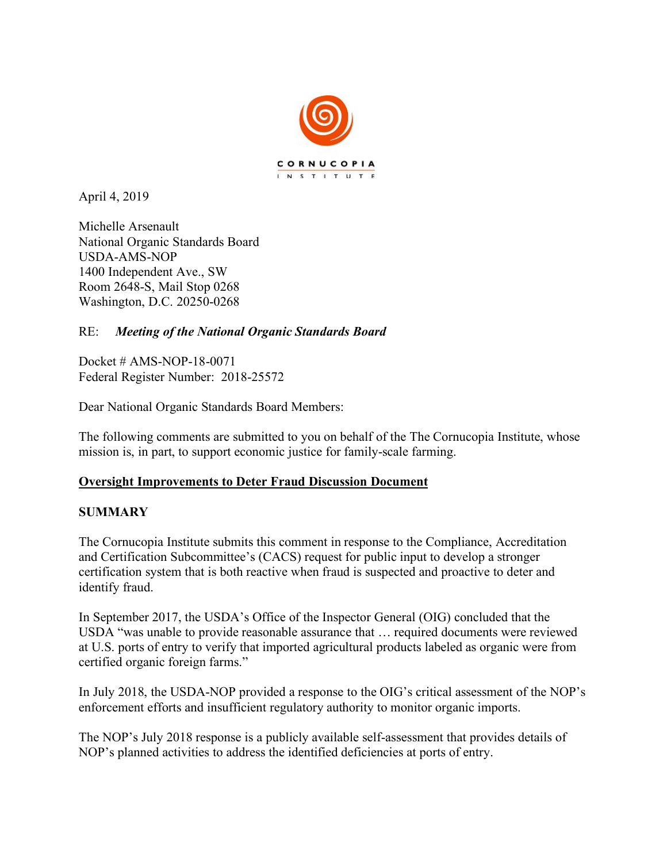

April 4, 2019

Michelle Arsenault National Organic Standards Board USDA-AMS-NOP 1400 Independent Ave., SW Room 2648-S, Mail Stop 0268 Washington, D.C. 20250-0268

# RE: *Meeting of the National Organic Standards Board*

Docket # AMS-NOP-18-0071 Federal Register Number: 2018-25572

Dear National Organic Standards Board Members:

The following comments are submitted to you on behalf of the The Cornucopia Institute, whose mission is, in part, to support economic justice for family-scale farming.

# **Oversight Improvements to Deter Fraud Discussion Document**

# **SUMMARY**

The Cornucopia Institute submits this comment in response to the Compliance, Accreditation and Certification Subcommittee's (CACS) request for public input to develop a stronger certification system that is both reactive when fraud is suspected and proactive to deter and identify fraud.

In September 2017, the USDA's Office of the Inspector General (OIG) concluded that the USDA "was unable to provide reasonable assurance that … required documents were reviewed at U.S. ports of entry to verify that imported agricultural products labeled as organic were from certified organic foreign farms."

In July 2018, the USDA-NOP provided a response to the OIG's critical assessment of the NOP's enforcement efforts and insufficient regulatory authority to monitor organic imports.

The NOP's July 2018 response is a publicly available self-assessment that provides details of NOP's planned activities to address the identified deficiencies at ports of entry.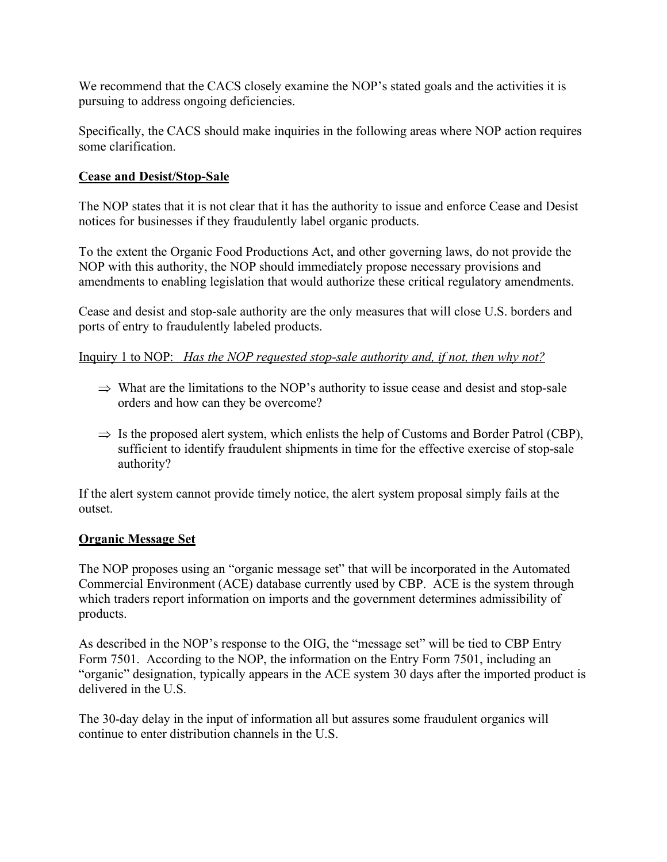We recommend that the CACS closely examine the NOP's stated goals and the activities it is pursuing to address ongoing deficiencies.

Specifically, the CACS should make inquiries in the following areas where NOP action requires some clarification.

### **Cease and Desist/Stop-Sale**

The NOP states that it is not clear that it has the authority to issue and enforce Cease and Desist notices for businesses if they fraudulently label organic products.

To the extent the Organic Food Productions Act, and other governing laws, do not provide the NOP with this authority, the NOP should immediately propose necessary provisions and amendments to enabling legislation that would authorize these critical regulatory amendments.

Cease and desist and stop-sale authority are the only measures that will close U.S. borders and ports of entry to fraudulently labeled products.

Inquiry 1 to NOP: *Has the NOP requested stop-sale authority and, if not, then why not?*

- $\Rightarrow$  What are the limitations to the NOP's authority to issue cease and desist and stop-sale orders and how can they be overcome?
- $\Rightarrow$  Is the proposed alert system, which enlists the help of Customs and Border Patrol (CBP), sufficient to identify fraudulent shipments in time for the effective exercise of stop-sale authority?

If the alert system cannot provide timely notice, the alert system proposal simply fails at the outset.

#### **Organic Message Set**

The NOP proposes using an "organic message set" that will be incorporated in the Automated Commercial Environment (ACE) database currently used by CBP. ACE is the system through which traders report information on imports and the government determines admissibility of products.

As described in the NOP's response to the OIG, the "message set" will be tied to CBP Entry Form 7501. According to the NOP, the information on the Entry Form 7501, including an "organic" designation, typically appears in the ACE system 30 days after the imported product is delivered in the U.S.

The 30-day delay in the input of information all but assures some fraudulent organics will continue to enter distribution channels in the U.S.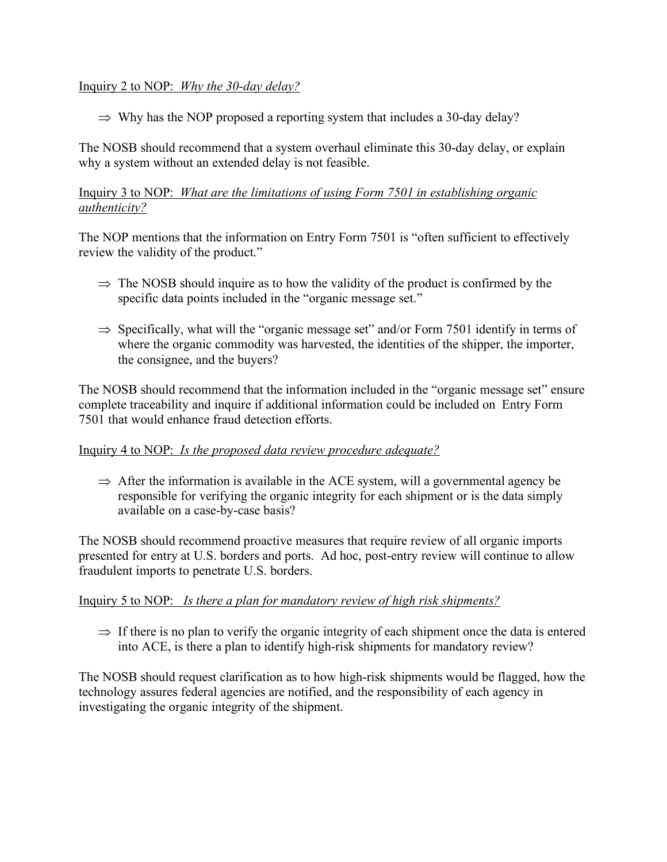### Inquiry 2 to NOP: *Why the 30-day delay?*

 $\Rightarrow$  Why has the NOP proposed a reporting system that includes a 30-day delay?

The NOSB should recommend that a system overhaul eliminate this 30-day delay, or explain why a system without an extended delay is not feasible.

## Inquiry 3 to NOP: *What are the limitations of using Form 7501 in establishing organic authenticity?*

The NOP mentions that the information on Entry Form 7501 is "often sufficient to effectively review the validity of the product."

- $\Rightarrow$  The NOSB should inquire as to how the validity of the product is confirmed by the specific data points included in the "organic message set."
- $\Rightarrow$  Specifically, what will the "organic message set" and/or Form 7501 identify in terms of where the organic commodity was harvested, the identities of the shipper, the importer, the consignee, and the buyers?

The NOSB should recommend that the information included in the "organic message set" ensure complete traceability and inquire if additional information could be included on Entry Form 7501 that would enhance fraud detection efforts.

#### Inquiry 4 to NOP: *Is the proposed data review procedure adequate?*

 $\Rightarrow$  After the information is available in the ACE system, will a governmental agency be responsible for verifying the organic integrity for each shipment or is the data simply available on a case-by-case basis?

The NOSB should recommend proactive measures that require review of all organic imports presented for entry at U.S. borders and ports. Ad hoc, post-entry review will continue to allow fraudulent imports to penetrate U.S. borders.

#### Inquiry 5 to NOP: *Is there a plan for mandatory review of high risk shipments?*

 $\Rightarrow$  If there is no plan to verify the organic integrity of each shipment once the data is entered into ACE, is there a plan to identify high-risk shipments for mandatory review?

The NOSB should request clarification as to how high-risk shipments would be flagged, how the technology assures federal agencies are notified, and the responsibility of each agency in investigating the organic integrity of the shipment.